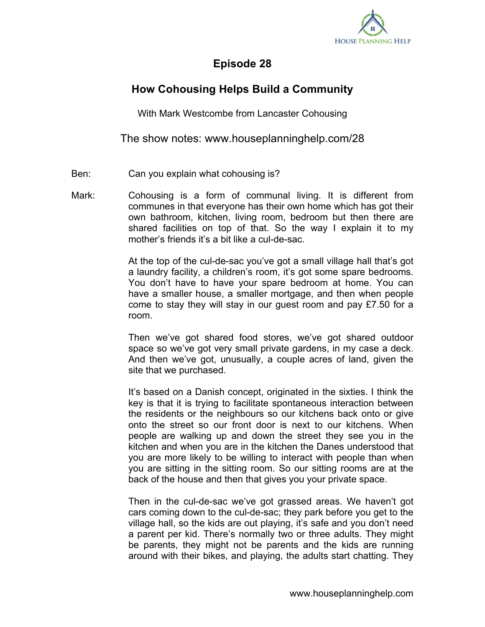

## **Episode 28**

## **How Cohousing Helps Build a Community**

With Mark Westcombe from Lancaster Cohousing

The show notes: www.houseplanninghelp.com/28

- Ben: Can you explain what cohousing is?
- Mark: Cohousing is a form of communal living. It is different from communes in that everyone has their own home which has got their own bathroom, kitchen, living room, bedroom but then there are shared facilities on top of that. So the way I explain it to my mother's friends it's a bit like a cul-de-sac.

At the top of the cul-de-sac you've got a small village hall that's got a laundry facility, a children's room, it's got some spare bedrooms. You don't have to have your spare bedroom at home. You can have a smaller house, a smaller mortgage, and then when people come to stay they will stay in our guest room and pay £7.50 for a room.

Then we've got shared food stores, we've got shared outdoor space so we've got very small private gardens, in my case a deck. And then we've got, unusually, a couple acres of land, given the site that we purchased.

It's based on a Danish concept, originated in the sixties. I think the key is that it is trying to facilitate spontaneous interaction between the residents or the neighbours so our kitchens back onto or give onto the street so our front door is next to our kitchens. When people are walking up and down the street they see you in the kitchen and when you are in the kitchen the Danes understood that you are more likely to be willing to interact with people than when you are sitting in the sitting room. So our sitting rooms are at the back of the house and then that gives you your private space.

Then in the cul-de-sac we've got grassed areas. We haven't got cars coming down to the cul-de-sac; they park before you get to the village hall, so the kids are out playing, it's safe and you don't need a parent per kid. There's normally two or three adults. They might be parents, they might not be parents and the kids are running around with their bikes, and playing, the adults start chatting. They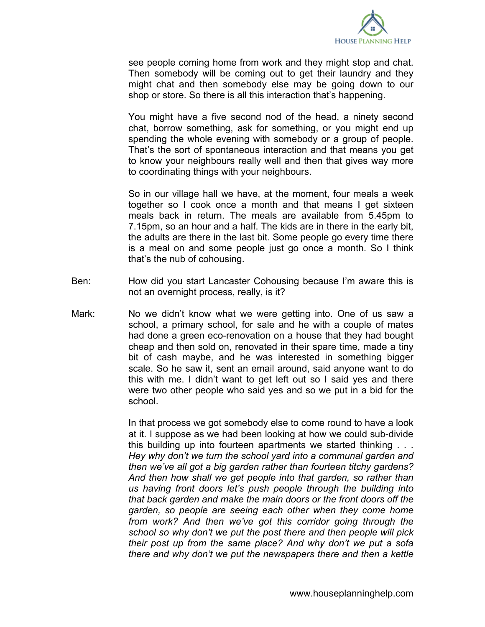

see people coming home from work and they might stop and chat. Then somebody will be coming out to get their laundry and they might chat and then somebody else may be going down to our shop or store. So there is all this interaction that's happening.

You might have a five second nod of the head, a ninety second chat, borrow something, ask for something, or you might end up spending the whole evening with somebody or a group of people. That's the sort of spontaneous interaction and that means you get to know your neighbours really well and then that gives way more to coordinating things with your neighbours.

So in our village hall we have, at the moment, four meals a week together so I cook once a month and that means I get sixteen meals back in return. The meals are available from 5.45pm to 7.15pm, so an hour and a half. The kids are in there in the early bit, the adults are there in the last bit. Some people go every time there is a meal on and some people just go once a month. So I think that's the nub of cohousing.

- Ben: How did you start Lancaster Cohousing because I'm aware this is not an overnight process, really, is it?
- Mark: No we didn't know what we were getting into. One of us saw a school, a primary school, for sale and he with a couple of mates had done a green eco-renovation on a house that they had bought cheap and then sold on, renovated in their spare time, made a tiny bit of cash maybe, and he was interested in something bigger scale. So he saw it, sent an email around, said anyone want to do this with me. I didn't want to get left out so I said yes and there were two other people who said yes and so we put in a bid for the school.

In that process we got somebody else to come round to have a look at it. I suppose as we had been looking at how we could sub-divide this building up into fourteen apartments we started thinking . . . *Hey why don't we turn the school yard into a communal garden and then we've all got a big garden rather than fourteen titchy gardens? And then how shall we get people into that garden, so rather than us having front doors let's push people through the building into that back garden and make the main doors or the front doors off the garden, so people are seeing each other when they come home from work? And then we've got this corridor going through the school so why don't we put the post there and then people will pick their post up from the same place? And why don't we put a sofa there and why don't we put the newspapers there and then a kettle*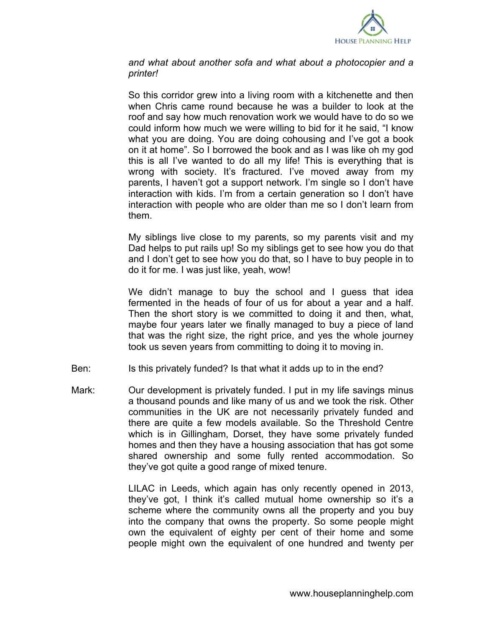

*and what about another sofa and what about a photocopier and a printer!* 

So this corridor grew into a living room with a kitchenette and then when Chris came round because he was a builder to look at the roof and say how much renovation work we would have to do so we could inform how much we were willing to bid for it he said, "I know what you are doing. You are doing cohousing and I've got a book on it at home". So I borrowed the book and as I was like oh my god this is all I've wanted to do all my life! This is everything that is wrong with society. It's fractured. I've moved away from my parents, I haven't got a support network. I'm single so I don't have interaction with kids. I'm from a certain generation so I don't have interaction with people who are older than me so I don't learn from them.

My siblings live close to my parents, so my parents visit and my Dad helps to put rails up! So my siblings get to see how you do that and I don't get to see how you do that, so I have to buy people in to do it for me. I was just like, yeah, wow!

We didn't manage to buy the school and I guess that idea fermented in the heads of four of us for about a year and a half. Then the short story is we committed to doing it and then, what, maybe four years later we finally managed to buy a piece of land that was the right size, the right price, and yes the whole journey took us seven years from committing to doing it to moving in.

- Ben: Is this privately funded? Is that what it adds up to in the end?
- Mark: Our development is privately funded. I put in my life savings minus a thousand pounds and like many of us and we took the risk. Other communities in the UK are not necessarily privately funded and there are quite a few models available. So the Threshold Centre which is in Gillingham, Dorset, they have some privately funded homes and then they have a housing association that has got some shared ownership and some fully rented accommodation. So they've got quite a good range of mixed tenure.

LILAC in Leeds, which again has only recently opened in 2013, they've got, I think it's called mutual home ownership so it's a scheme where the community owns all the property and you buy into the company that owns the property. So some people might own the equivalent of eighty per cent of their home and some people might own the equivalent of one hundred and twenty per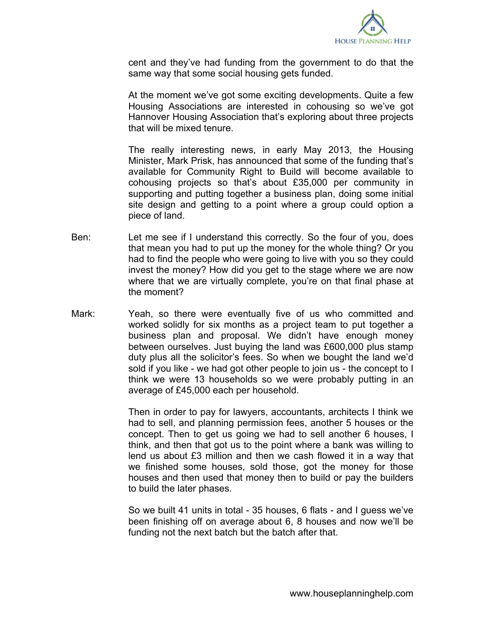

cent and they've had funding from the government to do that the same way that some social housing gets funded.

At the moment we've got some exciting developments. Quite a few Housing Associations are interested in cohousing so we've got Hannover Housing Association that's exploring about three projects that will be mixed tenure.

The really interesting news, in early May 2013, the Housing Minister, Mark Prisk, has announced that some of the funding that's available for Community Right to Build will become available to cohousing projects so that's about £35,000 per community in supporting and putting together a business plan, doing some initial site design and getting to a point where a group could option a piece of land.

- Ben: Let me see if I understand this correctly. So the four of you, does that mean you had to put up the money for the whole thing? Or you had to find the people who were going to live with you so they could invest the money? How did you get to the stage where we are now where that we are virtually complete, you're on that final phase at the moment?
- Mark: Yeah, so there were eventually five of us who committed and worked solidly for six months as a project team to put together a business plan and proposal. We didn't have enough money between ourselves. Just buying the land was £600,000 plus stamp duty plus all the solicitor's fees. So when we bought the land we'd sold if you like - we had got other people to join us - the concept to I think we were 13 households so we were probably putting in an average of £45,000 each per household.

Then in order to pay for lawyers, accountants, architects I think we had to sell, and planning permission fees, another 5 houses or the concept. Then to get us going we had to sell another 6 houses, I think, and then that got us to the point where a bank was willing to lend us about £3 million and then we cash flowed it in a way that we finished some houses, sold those, got the money for those houses and then used that money then to build or pay the builders to build the later phases.

So we built 41 units in total - 35 houses, 6 flats - and I guess we've been finishing off on average about 6, 8 houses and now we'll be funding not the next batch but the batch after that.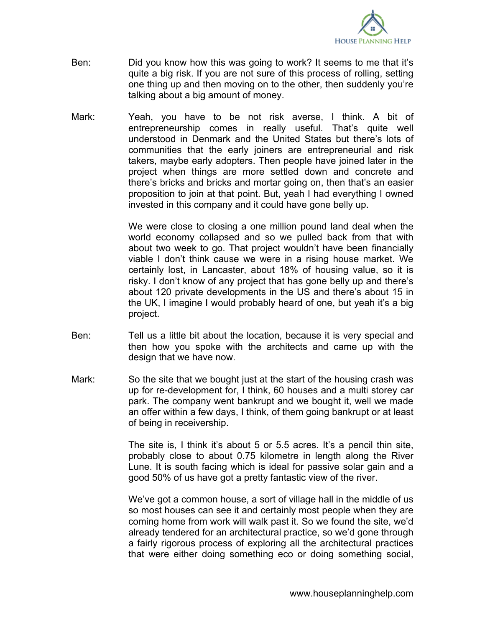

- Ben: Did you know how this was going to work? It seems to me that it's quite a big risk. If you are not sure of this process of rolling, setting one thing up and then moving on to the other, then suddenly you're talking about a big amount of money.
- Mark: Yeah, you have to be not risk averse, I think. A bit of entrepreneurship comes in really useful. That's quite well understood in Denmark and the United States but there's lots of communities that the early joiners are entrepreneurial and risk takers, maybe early adopters. Then people have joined later in the project when things are more settled down and concrete and there's bricks and bricks and mortar going on, then that's an easier proposition to join at that point. But, yeah I had everything I owned invested in this company and it could have gone belly up.

We were close to closing a one million pound land deal when the world economy collapsed and so we pulled back from that with about two week to go. That project wouldn't have been financially viable I don't think cause we were in a rising house market. We certainly lost, in Lancaster, about 18% of housing value, so it is risky. I don't know of any project that has gone belly up and there's about 120 private developments in the US and there's about 15 in the UK, I imagine I would probably heard of one, but yeah it's a big project.

- Ben: Tell us a little bit about the location, because it is very special and then how you spoke with the architects and came up with the design that we have now.
- Mark: So the site that we bought just at the start of the housing crash was up for re-development for, I think, 60 houses and a multi storey car park. The company went bankrupt and we bought it, well we made an offer within a few days, I think, of them going bankrupt or at least of being in receivership.

The site is, I think it's about 5 or 5.5 acres. It's a pencil thin site, probably close to about 0.75 kilometre in length along the River Lune. It is south facing which is ideal for passive solar gain and a good 50% of us have got a pretty fantastic view of the river.

We've got a common house, a sort of village hall in the middle of us so most houses can see it and certainly most people when they are coming home from work will walk past it. So we found the site, we'd already tendered for an architectural practice, so we'd gone through a fairly rigorous process of exploring all the architectural practices that were either doing something eco or doing something social,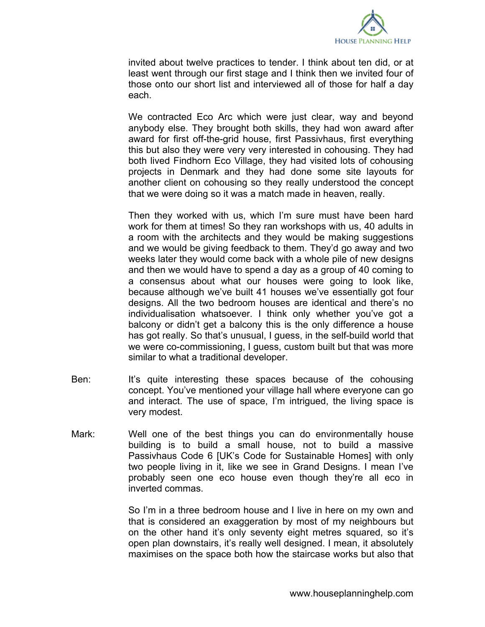

invited about twelve practices to tender. I think about ten did, or at least went through our first stage and I think then we invited four of those onto our short list and interviewed all of those for half a day each.

We contracted Eco Arc which were just clear, way and beyond anybody else. They brought both skills, they had won award after award for first off-the-grid house, first Passivhaus, first everything this but also they were very very interested in cohousing. They had both lived Findhorn Eco Village, they had visited lots of cohousing projects in Denmark and they had done some site layouts for another client on cohousing so they really understood the concept that we were doing so it was a match made in heaven, really.

Then they worked with us, which I'm sure must have been hard work for them at times! So they ran workshops with us, 40 adults in a room with the architects and they would be making suggestions and we would be giving feedback to them. They'd go away and two weeks later they would come back with a whole pile of new designs and then we would have to spend a day as a group of 40 coming to a consensus about what our houses were going to look like, because although we've built 41 houses we've essentially got four designs. All the two bedroom houses are identical and there's no individualisation whatsoever. I think only whether you've got a balcony or didn't get a balcony this is the only difference a house has got really. So that's unusual, I guess, in the self-build world that we were co-commissioning, I guess, custom built but that was more similar to what a traditional developer.

- Ben: It's quite interesting these spaces because of the cohousing concept. You've mentioned your village hall where everyone can go and interact. The use of space, I'm intrigued, the living space is very modest.
- Mark: Well one of the best things you can do environmentally house building is to build a small house, not to build a massive Passivhaus Code 6 [UK's Code for Sustainable Homes] with only two people living in it, like we see in Grand Designs. I mean I've probably seen one eco house even though they're all eco in inverted commas.

So I'm in a three bedroom house and I live in here on my own and that is considered an exaggeration by most of my neighbours but on the other hand it's only seventy eight metres squared, so it's open plan downstairs, it's really well designed. I mean, it absolutely maximises on the space both how the staircase works but also that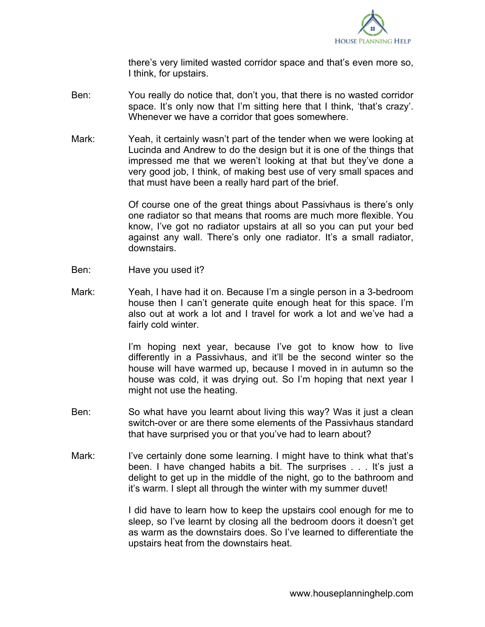

there's very limited wasted corridor space and that's even more so, I think, for upstairs.

- Ben: You really do notice that, don't you, that there is no wasted corridor space. It's only now that I'm sitting here that I think, 'that's crazy'. Whenever we have a corridor that goes somewhere.
- Mark: Yeah, it certainly wasn't part of the tender when we were looking at Lucinda and Andrew to do the design but it is one of the things that impressed me that we weren't looking at that but they've done a very good job, I think, of making best use of very small spaces and that must have been a really hard part of the brief.

Of course one of the great things about Passivhaus is there's only one radiator so that means that rooms are much more flexible. You know, I've got no radiator upstairs at all so you can put your bed against any wall. There's only one radiator. It's a small radiator, downstairs.

- Ben: Have you used it?
- Mark: Yeah, I have had it on. Because I'm a single person in a 3-bedroom house then I can't generate quite enough heat for this space. I'm also out at work a lot and I travel for work a lot and we've had a fairly cold winter.

I'm hoping next year, because I've got to know how to live differently in a Passivhaus, and it'll be the second winter so the house will have warmed up, because I moved in in autumn so the house was cold, it was drying out. So I'm hoping that next year I might not use the heating.

- Ben: So what have you learnt about living this way? Was it just a clean switch-over or are there some elements of the Passivhaus standard that have surprised you or that you've had to learn about?
- Mark: I've certainly done some learning. I might have to think what that's been. I have changed habits a bit. The surprises . . . It's just a delight to get up in the middle of the night, go to the bathroom and it's warm. I slept all through the winter with my summer duvet!

I did have to learn how to keep the upstairs cool enough for me to sleep, so I've learnt by closing all the bedroom doors it doesn't get as warm as the downstairs does. So I've learned to differentiate the upstairs heat from the downstairs heat.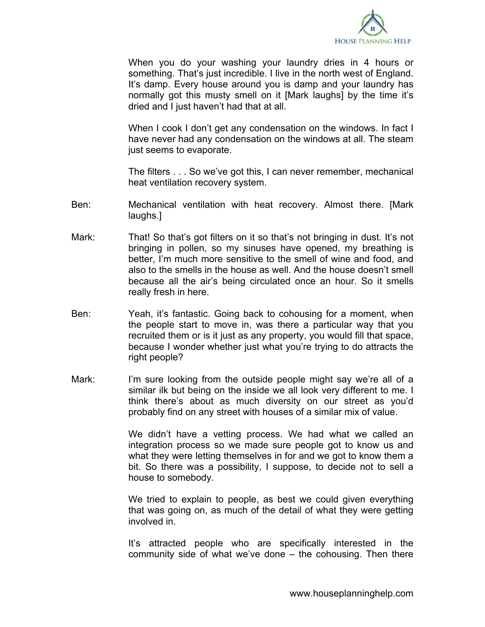

When you do your washing your laundry dries in 4 hours or something. That's just incredible. I live in the north west of England. It's damp. Every house around you is damp and your laundry has normally got this musty smell on it [Mark laughs] by the time it's dried and I just haven't had that at all.

When I cook I don't get any condensation on the windows. In fact I have never had any condensation on the windows at all. The steam just seems to evaporate.

The filters . . . So we've got this, I can never remember, mechanical heat ventilation recovery system.

- Ben: Mechanical ventilation with heat recovery. Almost there. [Mark laughs.]
- Mark: That! So that's got filters on it so that's not bringing in dust. It's not bringing in pollen, so my sinuses have opened, my breathing is better, I'm much more sensitive to the smell of wine and food, and also to the smells in the house as well. And the house doesn't smell because all the air's being circulated once an hour. So it smells really fresh in here.
- Ben: Yeah, it's fantastic. Going back to cohousing for a moment, when the people start to move in, was there a particular way that you recruited them or is it just as any property, you would fill that space, because I wonder whether just what you're trying to do attracts the right people?
- Mark: I'm sure looking from the outside people might say we're all of a similar ilk but being on the inside we all look very different to me. I think there's about as much diversity on our street as you'd probably find on any street with houses of a similar mix of value.

We didn't have a vetting process. We had what we called an integration process so we made sure people got to know us and what they were letting themselves in for and we got to know them a bit. So there was a possibility, I suppose, to decide not to sell a house to somebody.

We tried to explain to people, as best we could given everything that was going on, as much of the detail of what they were getting involved in.

It's attracted people who are specifically interested in the community side of what we've done – the cohousing. Then there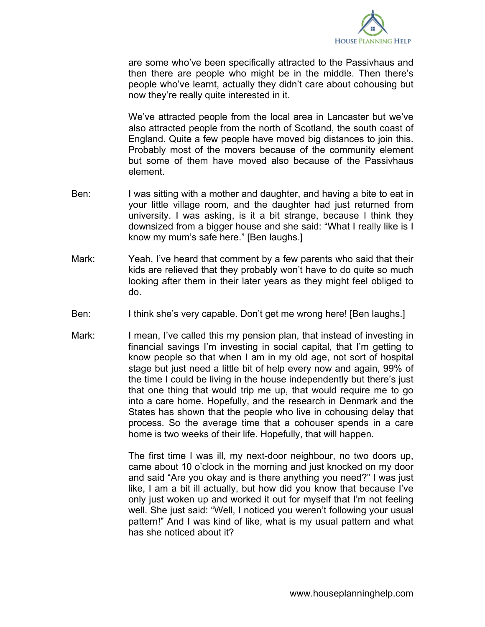

are some who've been specifically attracted to the Passivhaus and then there are people who might be in the middle. Then there's people who've learnt, actually they didn't care about cohousing but now they're really quite interested in it.

We've attracted people from the local area in Lancaster but we've also attracted people from the north of Scotland, the south coast of England. Quite a few people have moved big distances to join this. Probably most of the movers because of the community element but some of them have moved also because of the Passivhaus element.

- Ben: I was sitting with a mother and daughter, and having a bite to eat in your little village room, and the daughter had just returned from university. I was asking, is it a bit strange, because I think they downsized from a bigger house and she said: "What I really like is I know my mum's safe here." [Ben laughs.]
- Mark: Yeah, I've heard that comment by a few parents who said that their kids are relieved that they probably won't have to do quite so much looking after them in their later years as they might feel obliged to do.
- Ben: I think she's very capable. Don't get me wrong here! [Ben laughs.]
- Mark: I mean, I've called this my pension plan, that instead of investing in financial savings I'm investing in social capital, that I'm getting to know people so that when I am in my old age, not sort of hospital stage but just need a little bit of help every now and again, 99% of the time I could be living in the house independently but there's just that one thing that would trip me up, that would require me to go into a care home. Hopefully, and the research in Denmark and the States has shown that the people who live in cohousing delay that process. So the average time that a cohouser spends in a care home is two weeks of their life. Hopefully, that will happen.

The first time I was ill, my next-door neighbour, no two doors up, came about 10 o'clock in the morning and just knocked on my door and said "Are you okay and is there anything you need?" I was just like, I am a bit ill actually, but how did you know that because I've only just woken up and worked it out for myself that I'm not feeling well. She just said: "Well, I noticed you weren't following your usual pattern!" And I was kind of like, what is my usual pattern and what has she noticed about it?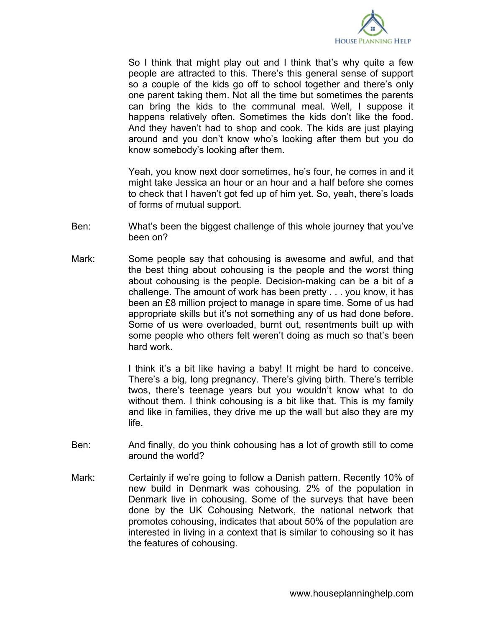

So I think that might play out and I think that's why quite a few people are attracted to this. There's this general sense of support so a couple of the kids go off to school together and there's only one parent taking them. Not all the time but sometimes the parents can bring the kids to the communal meal. Well, I suppose it happens relatively often. Sometimes the kids don't like the food. And they haven't had to shop and cook. The kids are just playing around and you don't know who's looking after them but you do know somebody's looking after them.

Yeah, you know next door sometimes, he's four, he comes in and it might take Jessica an hour or an hour and a half before she comes to check that I haven't got fed up of him yet. So, yeah, there's loads of forms of mutual support.

- Ben: What's been the biggest challenge of this whole journey that you've been on?
- Mark: Some people say that cohousing is awesome and awful, and that the best thing about cohousing is the people and the worst thing about cohousing is the people. Decision-making can be a bit of a challenge. The amount of work has been pretty . . . you know, it has been an £8 million project to manage in spare time. Some of us had appropriate skills but it's not something any of us had done before. Some of us were overloaded, burnt out, resentments built up with some people who others felt weren't doing as much so that's been hard work.

I think it's a bit like having a baby! It might be hard to conceive. There's a big, long pregnancy. There's giving birth. There's terrible twos, there's teenage years but you wouldn't know what to do without them. I think cohousing is a bit like that. This is my family and like in families, they drive me up the wall but also they are my life.

- Ben: And finally, do you think cohousing has a lot of growth still to come around the world?
- Mark: Certainly if we're going to follow a Danish pattern. Recently 10% of new build in Denmark was cohousing. 2% of the population in Denmark live in cohousing. Some of the surveys that have been done by the UK Cohousing Network, the national network that promotes cohousing, indicates that about 50% of the population are interested in living in a context that is similar to cohousing so it has the features of cohousing.